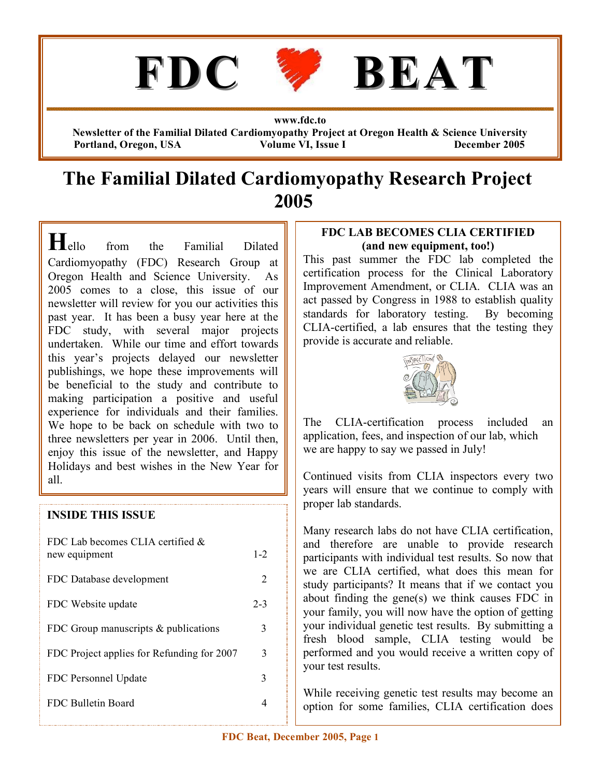

**www.fdc.to**

**Newsletter of the Familial Dilated Cardiomyopathy Project at Oregon Health & Science University Portland, Oregon, USA Volume VI, Issue I December 2005**

## **The Familial Dilated Cardiomyopathy Research Project 2005**

**H**ello from the Familial Dilated Cardiomyopathy (FDC) Research Group at Oregon Health and Science University. As 2005 comes to a close, this issue of our newsletter will review for you our activities this past year. It has been a busy year here at the FDC study, with several major projects undertaken. While our time and effort towards this year's projects delayed our newsletter publishings, we hope these improvements will be beneficial to the study and contribute to making participation a positive and useful experience for individuals and their families. We hope to be back on schedule with two to three newsletters per year in 2006. Until then, enjoy this issue of the newsletter, and Happy Holidays and best wishes in the New Year for all.

#### **INSIDE THIS ISSUE**

| FDC Lab becomes CLIA certified &<br>new equipment | $1 - 2$ |
|---------------------------------------------------|---------|
| FDC Database development                          | 2       |
| FDC Website update                                | $2 - 3$ |
| FDC Group manuscripts $&$ publications            | 3       |
| FDC Project applies for Refunding for 2007        | 3       |
| FDC Personnel Update                              | 3       |
| FDC Bulletin Board                                |         |

#### **FDC LAB BECOMES CLIA CERTIFIED (and new equipment, too!)**

This past summer the FDC lab completed the certification process for the Clinical Laboratory Improvement Amendment, or CLIA. CLIA was an act passed by Congress in 1988 to establish quality standards for laboratory testing. By becoming CLIA-certified, a lab ensures that the testing they provide is accurate and reliable.



The CLIA-certification process included an application, fees, and inspection of our lab, which we are happy to say we passed in July!

Continued visits from CLIA inspectors every two years will ensure that we continue to comply with proper lab standards.

Many research labs do not have CLIA certification, and therefore are unable to provide research participants with individual test results. So now that we are CLIA certified, what does this mean for study participants? It means that if we contact you about finding the gene(s) we think causes FDC in your family, you will now have the option of getting your individual genetic test results. By submitting a fresh blood sample, CLIA testing would be performed and you would receive a written copy of your test results.

While receiving genetic test results may become an option for some families, CLIA certification does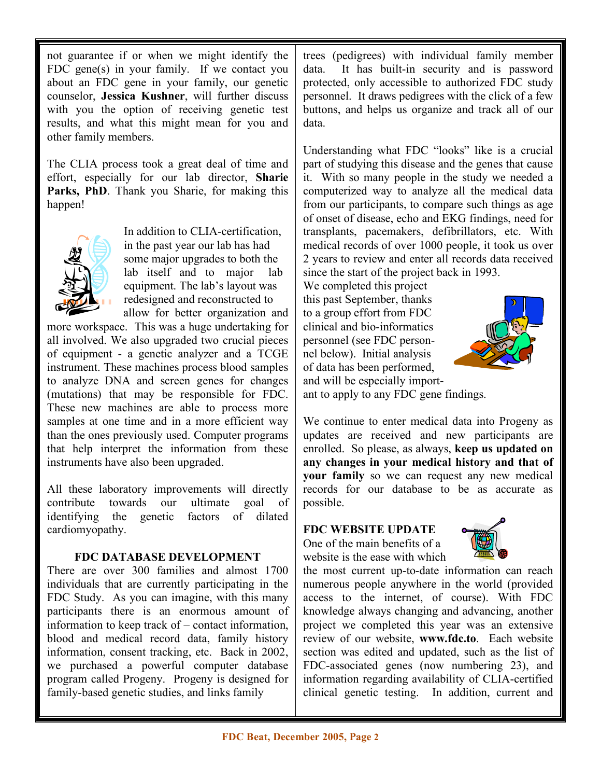not guarantee if or when we might identify the FDC gene(s) in your family. If we contact you about an FDC gene in your family, our genetic counselor, **Jessica Kushner**, will further discuss with you the option of receiving genetic test results, and what this might mean for you and other family members.

The CLIA process took a great deal of time and effort, especially for our lab director, **Sharie Parks, PhD**. Thank you Sharie, for making this happen!



In addition to CLIA-certification, in the past year our lab has had some major upgrades to both the lab itself and to major lab equipment. The lab's layout was redesigned and reconstructed to allow for better organization and

more workspace. This was a huge undertaking for all involved. We also upgraded two crucial pieces of equipment - a genetic analyzer and a TCGE instrument. These machines process blood samples to analyze DNA and screen genes for changes (mutations) that may be responsible for FDC. These new machines are able to process more samples at one time and in a more efficient way than the ones previously used. Computer programs that help interpret the information from these instruments have also been upgraded.

All these laboratory improvements will directly contribute towards our ultimate goal of identifying the genetic factors of dilated cardiomyopathy.

#### **FDC DATABASE DEVELOPMENT**

There are over 300 families and almost 1700 individuals that are currently participating in the FDC Study. As you can imagine, with this many participants there is an enormous amount of information to keep track of – contact information, blood and medical record data, family history information, consent tracking, etc. Back in 2002, we purchased a powerful computer database program called Progeny. Progeny is designed for family-based genetic studies, and links family

trees (pedigrees) with individual family member data. It has built-in security and is password protected, only accessible to authorized FDC study personnel. It draws pedigrees with the click of a few buttons, and helps us organize and track all of our data.

Understanding what FDC "looks" like is a crucial part of studying this disease and the genes that cause it. With so many people in the study we needed a computerized way to analyze all the medical data from our participants, to compare such things as age of onset of disease, echo and EKG findings, need for transplants, pacemakers, defibrillators, etc. With medical records of over 1000 people, it took us over 2 years to review and enter all records data received since the start of the project back in 1993.

We completed this project this past September, thanks to a group effort from FDC clinical and bio-informatics personnel (see FDC personnel below). Initial analysis of data has been performed, and will be especially import-



ant to apply to any FDC gene findings.

We continue to enter medical data into Progeny as updates are received and new participants are enrolled. So please, as always, **keep us updated on any changes in your medical history and that of your family** so we can request any new medical records for our database to be as accurate as possible.

## **FDC WEBSITE UPDATE**

One of the main benefits of a website is the ease with which



the most current up-to-date information can reach numerous people anywhere in the world (provided access to the internet, of course). With FDC knowledge always changing and advancing, another project we completed this year was an extensive review of our website, **www.fdc.to**. Each website section was edited and updated, such as the list of FDC-associated genes (now numbering 23), and information regarding availability of CLIA-certified clinical genetic testing. In addition, current and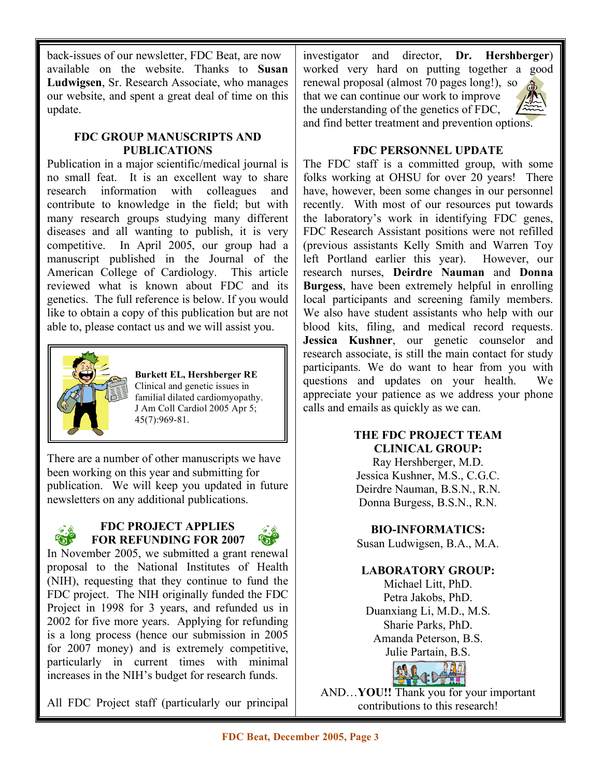back-issues of our newsletter, FDC Beat, are now available on the website. Thanks to **Susan Ludwigsen**, Sr. Research Associate, who manages our website, and spent a great deal of time on this update.

#### **FDC GROUP MANUSCRIPTS AND PUBLICATIONS**

Publication in a major scientific/medical journal is no small feat. It is an excellent way to share research information with colleagues and contribute to knowledge in the field; but with many research groups studying many different diseases and all wanting to publish, it is very competitive. In April 2005, our group had a manuscript published in the Journal of the American College of Cardiology. This article reviewed what is known about FDC and its genetics. The full reference is below. If you would like to obtain a copy of this publication but are not able to, please contact us and we will assist you.



**Burkett EL, Hershberger RE** Clinical and genetic issues in familial dilated cardiomyopathy. J Am Coll Cardiol 2005 Apr 5; 45(7):969-81.

There are a number of other manuscripts we have been working on this year and submitting for publication. We will keep you updated in future . publication. We will keep you updated in fact publications.

# $\mathbb{G}^*$

#### **FDC PROJECT APPLIES FOR REFUNDING FOR 2007** cardiomyopathy.  $\mathcal{L}$  C applies



In November 2005, we submitted a grant renewal proposal to the National Institutes of Health (NIH), requesting that they continue to fund the FDC project. The NIH originally funded the FDC Project in 1998 for 3 years, and refunded us in 2002 for five more years. Applying for refunding is a long process (hence our submission in 2005 for 2007 money) and is extremely competitive, particularly in current times with minimal increases in the NIH's budget for research funds.

All FDC Project staff (particularly our principal

investigator and director, **Dr. Hershberger**) worked very hard on putting together a good

renewal proposal (almost 70 pages long!), so that we can continue our work to improve the understanding of the genetics of FDC, and find better treatment and prevention options.



#### **FDC PERSONNEL UPDATE**

The FDC staff is a committed group, with some folks working at OHSU for over 20 years! There have, however, been some changes in our personnel recently. With most of our resources put towards the laboratory's work in identifying FDC genes, FDC Research Assistant positions were not refilled (previous assistants Kelly Smith and Warren Toy left Portland earlier this year). However, our research nurses, **Deirdre Nauman** and **Donna Burgess**, have been extremely helpful in enrolling local participants and screening family members. We also have student assistants who help with our blood kits, filing, and medical record requests. **Jessica Kushner**, our genetic counselor and research associate, is still the main contact for study participants. We do want to hear from you with questions and updates on your health. We appreciate your patience as we address your phone calls and emails as quickly as we can.

#### **THE FDC PROJECT TEAM CLINICAL GROUP:**

Ray Hershberger, M.D. Jessica Kushner, M.S., C.G.C. Deirdre Nauman, B.S.N., R.N. Donna Burgess, B.S.N., R.N.

#### **BIO-INFORMATICS:**

Susan Ludwigsen, B.A., M.A.

#### **LABORATORY GROUP:**

Michael Litt, PhD. Petra Jakobs, PhD. Duanxiang Li, M.D., M.S. Sharie Parks, PhD. Amanda Peterson, B.S. Julie Partain, B.S.



AND…**YOU!!** Thank you for your important contributions to this research!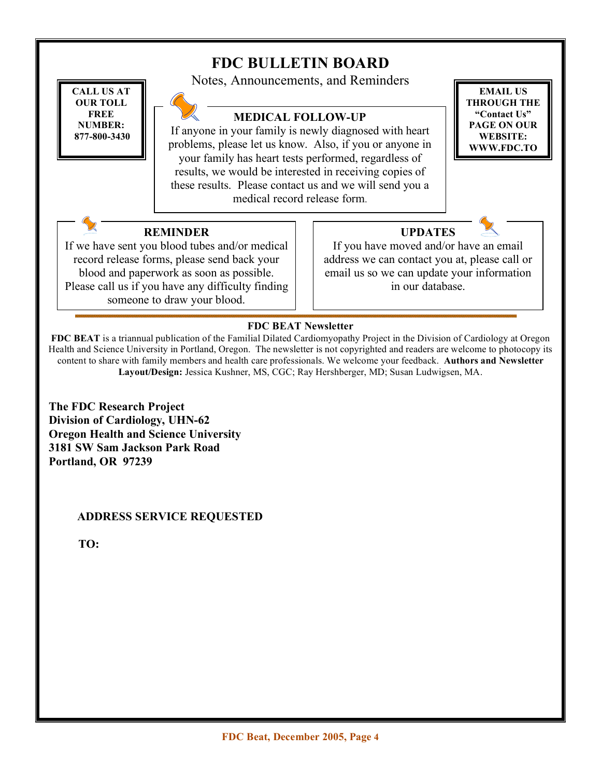#### **FDC BULLETIN BOARD** Notes, Announcements, and Reminders **MEDICAL FOLLOW-UP** If anyone in your family is newly diagnosed with heart problems, please let us know. Also, if you or anyone in your family has heart tests performed, regardless of results, we would be interested in receiving copies of these results. Please contact us and we will send you a medical record release form. **REMINDER** If we have sent you blood tubes and/or medical record release forms, please send back your blood and paperwork as soon as possible. Please call us if you have any difficulty finding someone to draw your blood. **UPDATES** If you have moved and/or have an email address we can contact you at, please call or email us so we can update your information in our database. **CALL US AT OUR TOLL FREE NUMBER: 877-800-3430 EMAIL US THROUGH THE "Contact Us" PAGE ON OUR WEBSITE: WWW.FDC.TO**

## **FDC BEAT Newsletter**

**FDC BEAT** is a triannual publication of the Familial Dilated Cardiomyopathy Project in the Division of Cardiology at Oregon Health and Science University in Portland, Oregon. The newsletter is not copyrighted and readers are welcome to photocopy its content to share with family members and health care professionals. We welcome your feedback. **Authors and Newsletter Layout/Design:** Jessica Kushner, MS, CGC; Ray Hershberger, MD; Susan Ludwigsen, MA.

**The FDC Research Project Division of Cardiology, UHN-62 Oregon Health and Science University 3181 SW Sam Jackson Park Road Portland, OR 97239**

## **ADDRESS SERVICE REQUESTED**

**TO:**